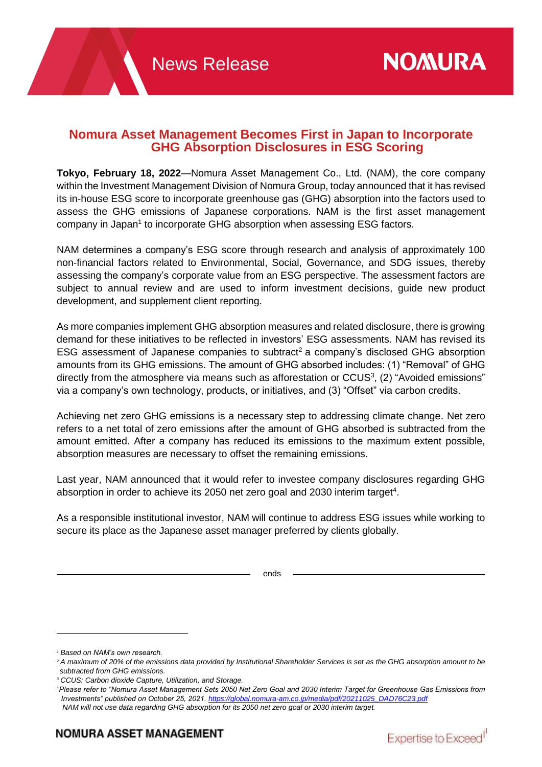## **Nomura Asset Management Becomes First in Japan to Incorporate GHG Absorption Disclosures in ESG Scoring**

**Tokyo, February 18, 2022**—Nomura Asset Management Co., Ltd. (NAM), the core company within the Investment Management Division of Nomura Group, today announced that it has revised its in-house ESG score to incorporate greenhouse gas (GHG) absorption into the factors used to assess the GHG emissions of Japanese corporations. NAM is the first asset management company in Japan<sup>1</sup> to incorporate GHG absorption when assessing ESG factors.

NAM determines a company's ESG score through research and analysis of approximately 100 non-financial factors related to Environmental, Social, Governance, and SDG issues, thereby assessing the company's corporate value from an ESG perspective. The assessment factors are subject to annual review and are used to inform investment decisions, guide new product development, and supplement client reporting.

As more companies implement GHG absorption measures and related disclosure, there is growing demand for these initiatives to be reflected in investors' ESG assessments. NAM has revised its ESG assessment of Japanese companies to subtract<sup>2</sup> a company's disclosed GHG absorption amounts from its GHG emissions. The amount of GHG absorbed includes: (1) "Removal" of GHG directly from the atmosphere via means such as afforestation or  $CCUS<sup>3</sup>$ , (2) "Avoided emissions" via a company's own technology, products, or initiatives, and (3) "Offset" via carbon credits.

Achieving net zero GHG emissions is a necessary step to addressing climate change. Net zero refers to a net total of zero emissions after the amount of GHG absorbed is subtracted from the amount emitted. After a company has reduced its emissions to the maximum extent possible, absorption measures are necessary to offset the remaining emissions.

Last year, NAM announced that it would refer to investee company disclosures regarding GHG absorption in order to achieve its 2050 net zero goal and 2030 interim target<sup>4</sup>.

As a responsible institutional investor, NAM will continue to address ESG issues while working to secure its place as the Japanese asset manager preferred by clients globally.

ends

 $\overline{a}$ 



*<sup>1</sup> Based on NAM's own research.*

*<sup>2</sup> A maximum of 20% of the emissions data provided by Institutional Shareholder Services is set as the GHG absorption amount to be subtracted from GHG emissions.*

*<sup>3</sup> CCUS: Carbon dioxide Capture, Utilization, and Storage.*

<sup>4</sup>*Please refer to "Nomura Asset Management Sets 2050 Net Zero Goal and 2030 Interim Target for Greenhouse Gas Emissions from Investments" published on October 25, 2021. [https://global.nomura-am.co.jp/media/pdf/20211025\\_DAD76C23.pdf](https://global.nomura-am.co.jp/media/pdf/20211025_DAD76C23.pdf)*

*NAM will not use data regarding GHG absorption for its 2050 net zero goal or 2030 interim target.*